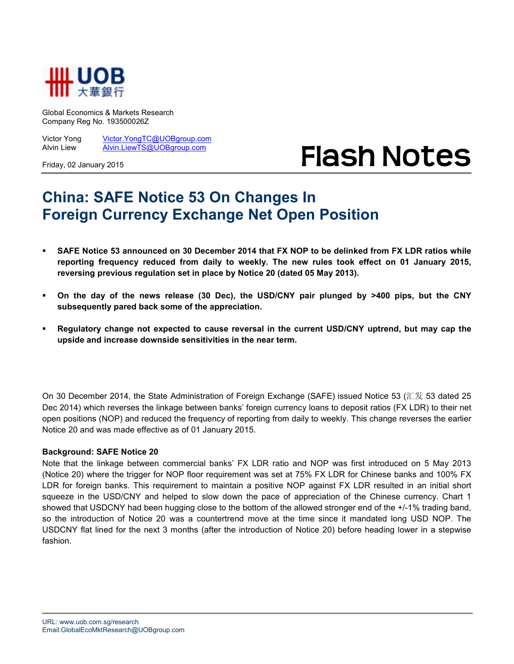

Global Economics & Markets Research Company Reg No. 193500026Z

Victor Yong Victor.YongTC@UOBgroup.com Alvin Liew Alvin.LiewTS@UOBgroup.com

Friday, 02 January 2015

## **Flash Notes**

## **China: SAFE Notice 53 On Changes In Foreign Currency Exchange Net Open Position**

- **SAFE Notice 53 announced on 30 December 2014 that FX NOP to be delinked from FX LDR ratios while reporting frequency reduced from daily to weekly. The new rules took effect on 01 January 2015, reversing previous regulation set in place by Notice 20 (dated 05 May 2013).**
- **On the day of the news release (30 Dec), the USD/CNY pair plunged by >400 pips, but the CNY subsequently pared back some of the appreciation.**
- **Regulatory change not expected to cause reversal in the current USD/CNY uptrend, but may cap the upside and increase downside sensitivities in the near term.**

On 30 December 2014, the State Administration of Foreign Exchange (SAFE) issued Notice 53 (汇发 53 dated 25 Dec 2014) which reverses the linkage between banks' foreign currency loans to deposit ratios (FX LDR) to their net open positions (NOP) and reduced the frequency of reporting from daily to weekly. This change reverses the earlier Notice 20 and was made effective as of 01 January 2015.

## **Background: SAFE Notice 20**

Note that the linkage between commercial banks' FX LDR ratio and NOP was first introduced on 5 May 2013 (Notice 20) where the trigger for NOP floor requirement was set at 75% FX LDR for Chinese banks and 100% FX LDR for foreign banks. This requirement to maintain a positive NOP against FX LDR resulted in an initial short squeeze in the USD/CNY and helped to slow down the pace of appreciation of the Chinese currency. Chart 1 showed that USDCNY had been hugging close to the bottom of the allowed stronger end of the +/-1% trading band, so the introduction of Notice 20 was a countertrend move at the time since it mandated long USD NOP. The USDCNY flat lined for the next 3 months (after the introduction of Notice 20) before heading lower in a stepwise fashion.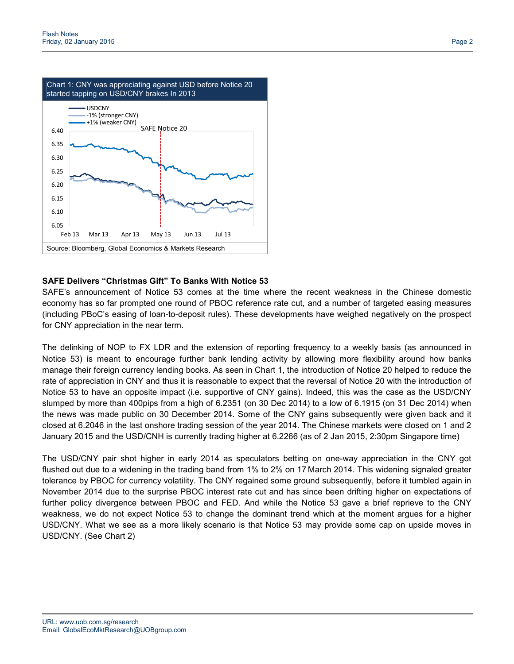

## **SAFE Delivers "Christmas Gift" To Banks With Notice 53**

SAFE's announcement of Notice 53 comes at the time where the recent weakness in the Chinese domestic economy has so far prompted one round of PBOC reference rate cut, and a number of targeted easing measures (including PBoC's easing of loan-to-deposit rules). These developments have weighed negatively on the prospect for CNY appreciation in the near term.

The delinking of NOP to FX LDR and the extension of reporting frequency to a weekly basis (as announced in Notice 53) is meant to encourage further bank lending activity by allowing more flexibility around how banks manage their foreign currency lending books. As seen in Chart 1, the introduction of Notice 20 helped to reduce the rate of appreciation in CNY and thus it is reasonable to expect that the reversal of Notice 20 with the introduction of Notice 53 to have an opposite impact (i.e. supportive of CNY gains). Indeed, this was the case as the USD/CNY slumped by more than 400pips from a high of 6.2351 (on 30 Dec 2014) to a low of 6.1915 (on 31 Dec 2014) when the news was made public on 30 December 2014. Some of the CNY gains subsequently were given back and it closed at 6.2046 in the last onshore trading session of the year 2014. The Chinese markets were closed on 1 and 2 January 2015 and the USD/CNH is currently trading higher at 6.2266 (as of 2 Jan 2015, 2:30pm Singapore time)

The USD/CNY pair shot higher in early 2014 as speculators betting on one-way appreciation in the CNY got flushed out due to a widening in the trading band from 1% to 2% on 17 March 2014. This widening signaled greater tolerance by PBOC for currency volatility. The CNY regained some ground subsequently, before it tumbled again in November 2014 due to the surprise PBOC interest rate cut and has since been drifting higher on expectations of further policy divergence between PBOC and FED. And while the Notice 53 gave a brief reprieve to the CNY weakness, we do not expect Notice 53 to change the dominant trend which at the moment argues for a higher USD/CNY. What we see as a more likely scenario is that Notice 53 may provide some cap on upside moves in USD/CNY. (See Chart 2)